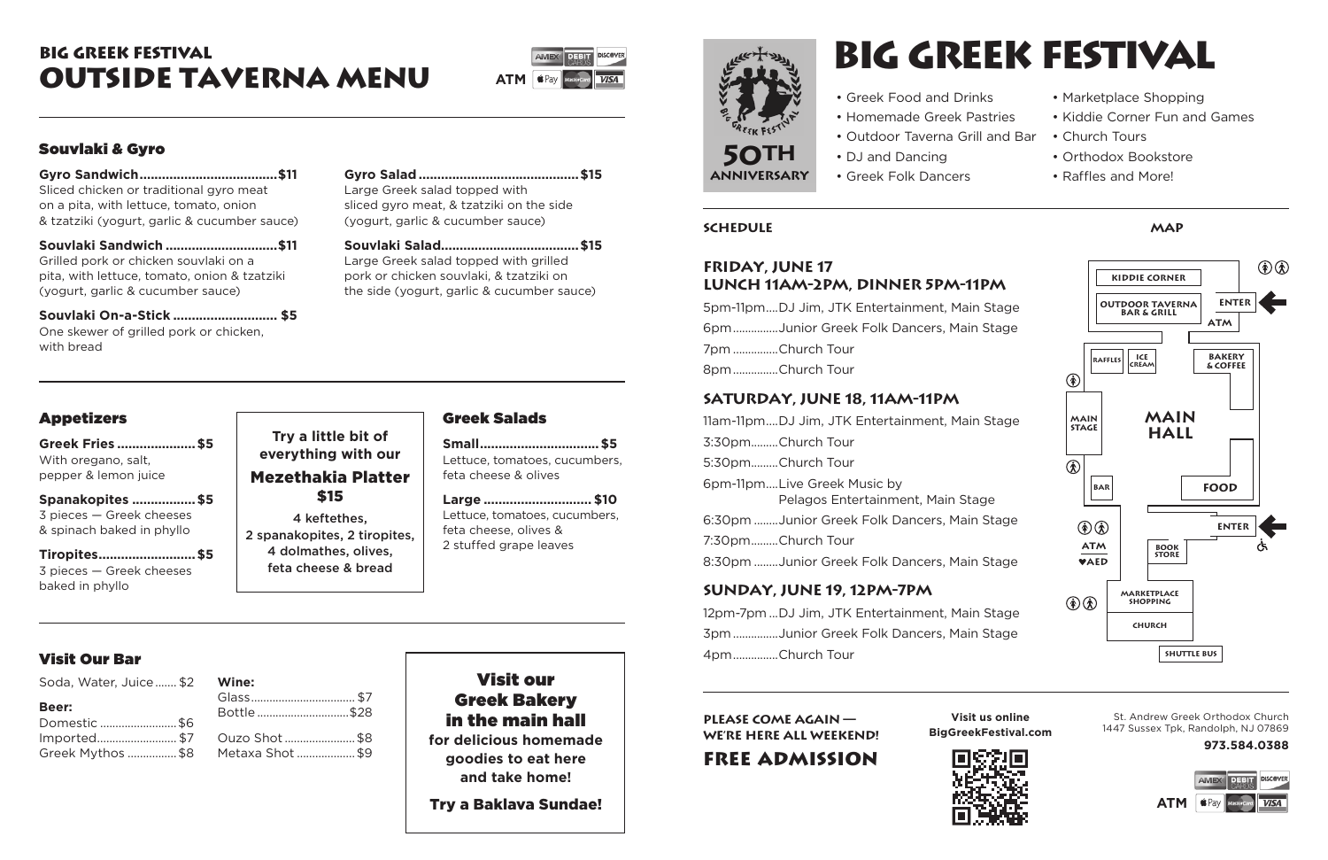# Souvlaki & Gyro

**Gyro Sandwich.....................................\$11** Sliced chicken or traditional gyro meat on a pita, with lettuce, tomato, onion & tzatziki (yogurt, garlic & cucumber sauce)

**Souvlaki Sandwich ..............................\$11** Grilled pork or chicken souvlaki on a pita, with lettuce, tomato, onion & tzatziki (yogurt, garlic & cucumber sauce)

**Souvlaki On-a-Stick ............................ \$5** One skewer of grilled pork or chicken, with bread

**Gyro Salad...........................................\$15** Large Greek salad topped with sliced gyro meat, & tzatziki on the side (yogurt, garlic & cucumber sauce)

**Souvlaki Salad.....................................\$15** Large Greek salad topped with grilled pork or chicken souvlaki, & tzatziki on the side (yogurt, garlic & cucumber sauce)

# Appetizers

**Greek Fries .....................\$5** With oregano, salt, pepper & lemon juice

**Spanakopites .................\$5** 3 pieces — Greek cheeses & spinach baked in phyllo

**Tiropites..........................\$5** 3 pieces — Greek cheeses baked in phyllo

# Greek Salads

**Small................................\$5** Lettuce, tomatoes, cucumbers, feta cheese & olives

**Large ............................. \$10** Lettuce, tomatoes, cucumbers, feta cheese, olives & 2 stuffed grape leaves

# Visit our Greek Bakery in the main hall **for delicious homemade goodies to eat here**

**and take home!** 

Try a Baklava Sundae!

# big greek festival outside taverna Menu

# Visit Our Bar

| Soda, Water, Juice \$2 Wine: |                 |
|------------------------------|-----------------|
| Beer:                        | Glass<br>Bottle |
| Domestic \$6                 |                 |
|                              |                 |
| Greek Mythos \$8 Metaxa Sho  |                 |

| .                |  |
|------------------|--|
|                  |  |
| Bottle \$28      |  |
|                  |  |
| Ouzo Shot \$8    |  |
| Metaxa Shot  \$9 |  |
|                  |  |



### **Try a little bit of everything with our** Mezethakia Platter \$15

4 keftethes, 2 spanakopites, 2 tiropites, 4 dolmathes, olives, feta cheese & bread

#### **Friday, June 17 Lunch 11am-2pm, Dinner 5pm-11pm**

|                 | 5pm-11pmDJ Jim, JTK Entertainment, Mai |
|-----------------|----------------------------------------|
|                 | 6pmJunior Greek Folk Dancers, Mair     |
| 7pm Church Tour |                                        |
| 8pmChurch Tour  |                                        |
|                 |                                        |

# **Saturday, June 18, 11am-11pm**

11am-11pm....DJ Jim, JTK Entertainment, Main Stage 3:30pm.........Church Tour 5:30pm.........Church Tour 6pm-11pm....Live Greek Music by Pelagos Entertainment, Main Stage 6:30pm ........Junior Greek Folk Dancers, Main Stage 7:30pm.........Church Tour 8:30pm ........Junior Greek Folk Dancers, Main Stage

# **Sunday, June 19, 12pm-7pm**

| 12pm-7pmDJ Jim, JTK Entertainment, Main Stage |
|-----------------------------------------------|
| 3pm Junior Greek Folk Dancers, Main Stage     |
| 4pmChurch Tour                                |

St. Andrew Greek Orthodox Church 1447 Sussex Tpk, Randolph, NJ 07869 **973.584.0388**



- Greek Food and Drinks
- Homemade Greek Pastries
- Outdoor Taverna Grill and Bar Church Tours
- DJ and Dancing
- Greek Folk Dancers
- 
- Marketplace Shopping
- Kiddie Corner Fun and Games
- 
- Orthodox Bookstore
- Raffles and More!



FREE ADMISSION



# big greek festival

#### **Schedule map**

#### **Please come again we're here all weekend!**

**Visit us online BigGreekFestival.com**